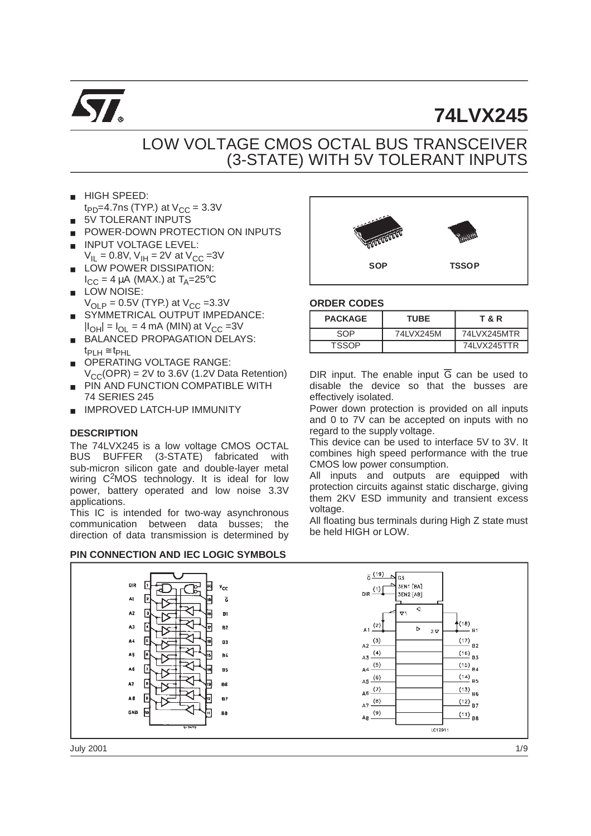

# **74LVX245**

## LOW VOLTAGE CMOS OCTAL BUS TRANSCEIVER (3-STATE) WITH 5V TOLERANT INPUTS

- **HIGH SPEED:**
- $t_{PD}$ =4.7ns (TYP.) at  $V_{CC}$  = 3.3V
- 5V TOLERANT INPUTS
- POWER-DOWN PROTECTION ON INPUTS
- **INPUT VOLTAGE LEVEL:**  $V_{II} = 0.8V$ ,  $V_{IH} = 2V$  at  $V_{CC} = 3V$
- LOW POWER DISSIPATION:  $I_{CC}$  = 4 µA (MAX.) at  $T_A$ =25°C
- LOW NOISE:  $V_{\text{OLP}} = 0.5V$  (TYP.) at  $V_{\text{CC}} = 3.3V$
- SYMMETRICAL OUTPUT IMPEDANCE:  $|I_{OH}| = I_{OL} = 4$  mA (MIN) at  $V_{CC} = 3V$
- BALANCED PROPAGATION DELAYS:  $t_{PI H}$ ≅  $t_{PHL}$
- OPERATING VOLTAGE RANGE:  $V_{CC}(OPR) = 2V$  to 3.6V (1.2V Data Retention)
- **PIN AND FUNCTION COMPATIBLE WITH** 74 SERIES 245
- IMPROVED LATCH-UP IMMUNITY

#### **DESCRIPTION**

The 74LVX245 is a low voltage CMOS OCTAL BUS BUFFER (3-STATE) fabricated with sub-micron silicon gate and double-layer metal wiring C<sup>2</sup>MOS technology. It is ideal for low power, battery operated and low noise 3.3V applications.

This IC is intended for two-way asynchronous communication between data busses; the direction of data transmission is determined by

#### **PIN CONNECTION AND IEC LOGIC SYMBOLS**



#### **ORDER CODES**

| <b>PACKAGE</b> | <b>TUBE</b> | T & R        |
|----------------|-------------|--------------|
| SOP            | 74I VX245M  | 741 VX245MTR |
| TSSOP          |             | 74LVX245TTR  |

DIR input. The enable input  $\overline{G}$  can be used to disable the device so that the busses are effectively isolated.

Power down protection is provided on all inputs and 0 to 7V can be accepted on inputs with no regard to the supply voltage.

This device can be used to interface 5V to 3V. It combines high speed performance with the true CMOS low power consumption.

All inputs and outputs are equipped with protection circuits against static discharge, giving them 2KV ESD immunity and transient excess voltage.

All floating bus terminals during High Z state must be held HIGH or LOW.

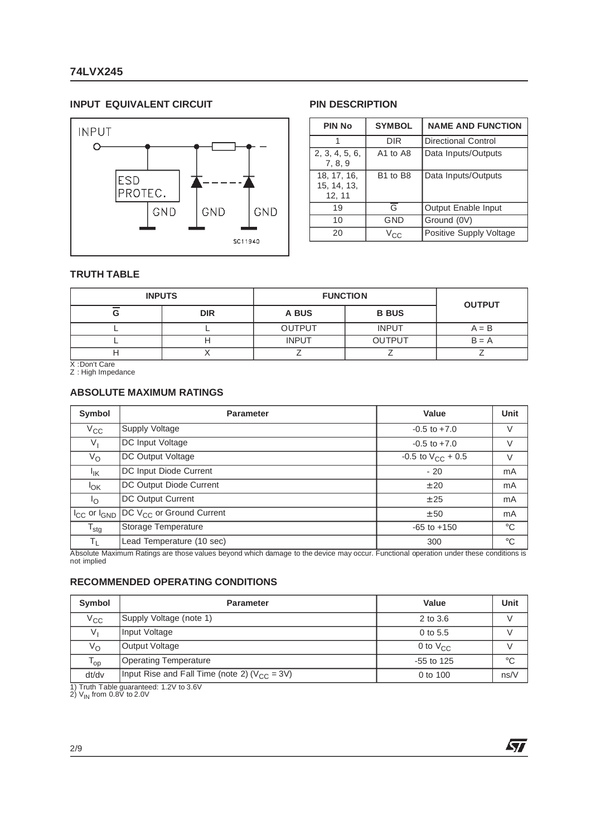#### **INPUT EQUIVALENT CIRCUIT PIN DESCRIPTION**



| <b>PIN No</b>                        | <b>SYMBOL</b>                    | <b>NAME AND FUNCTION</b>   |  |  |  |  |
|--------------------------------------|----------------------------------|----------------------------|--|--|--|--|
|                                      | DIR                              | Directional Control        |  |  |  |  |
| 2, 3, 4, 5, 6,<br>7, 8, 9            | A1 to A8                         | Data Inputs/Outputs        |  |  |  |  |
| 18, 17, 16,<br>15, 14, 13,<br>12, 11 | B <sub>1</sub> to B <sub>8</sub> | Data Inputs/Outputs        |  |  |  |  |
| 19                                   | G                                | <b>Output Enable Input</b> |  |  |  |  |
| 10                                   | GND                              | Ground (0V)                |  |  |  |  |
| 20                                   | Vcc                              | Positive Supply Voltage    |  |  |  |  |

勾

#### **TRUTH TABLE**

| <b>INPUTS</b> |              | <b>FUNCTION</b> |               | <b>OUTPUT</b> |  |  |
|---------------|--------------|-----------------|---------------|---------------|--|--|
| G             | <b>DIR</b>   | A BUS           | <b>B BUS</b>  |               |  |  |
|               |              | <b>OUTPUT</b>   | <b>INPUT</b>  | $A = B$       |  |  |
|               | <b>INPUT</b> |                 | <b>OUTPUT</b> | $B = A$       |  |  |
|               |              |                 |               |               |  |  |

X :Don't Care Z : High Impedance

#### **ABSOLUTE MAXIMUM RATINGS**

| Symbol                              | <b>Parameter</b>              | Value                    | Unit           |
|-------------------------------------|-------------------------------|--------------------------|----------------|
| $V_{\rm CC}$                        | Supply Voltage                | $-0.5$ to $+7.0$         | ٧              |
| $V_{\parallel}$                     | DC Input Voltage              | $-0.5$ to $+7.0$         | $\vee$         |
| $V_{\rm O}$                         | DC Output Voltage             | $-0.5$ to $V_{CC}$ + 0.5 | $\vee$         |
| $I_{\mathsf{IK}}$                   | DC Input Diode Current        | $-20$                    | m <sub>A</sub> |
| $I_{OK}$                            | DC Output Diode Current       | ± 20                     | m <sub>A</sub> |
| $\mathsf{I}_{\Omega}$               | DC Output Current             | ± 25                     | mA             |
| I <sub>CC</sub> or I <sub>GND</sub> | DC $V_{CC}$ or Ground Current | ± 50                     | mA             |
| $T_{\text{stg}}$                    | Storage Temperature           | $-65$ to $+150$          | $^{\circ}$ C   |
| $T_{\perp}$                         | Lead Temperature (10 sec)     | 300                      | $^{\circ}C$    |

Absolute Maximum Ratings are those values beyond which damage to the device may occur. Functional operation under these conditions is not implied

#### **RECOMMENDED OPERATING CONDITIONS**

| Symbol                     | <b>Parameter</b>                                   | Value         | Unit        |
|----------------------------|----------------------------------------------------|---------------|-------------|
| $V_{\rm CC}$               | Supply Voltage (note 1)                            | 2 to 3.6      |             |
| V,                         | Input Voltage                                      | 0 to 5.5      |             |
| $V_{\rm O}$                | Output Voltage                                     | 0 to $V_{CC}$ |             |
| $\mathsf{T}_{\mathsf{op}}$ | <b>Operating Temperature</b>                       | $-55$ to 125  | $^{\circ}C$ |
| dt/dv                      | Input Rise and Fall Time (note 2) ( $V_{CC}$ = 3V) | 0 to 100      | ns/V        |

1) Truth Table guaranteed: 1.2V to 3.6V<br>2) V<sub>IN</sub> from 0.8V to 2.0V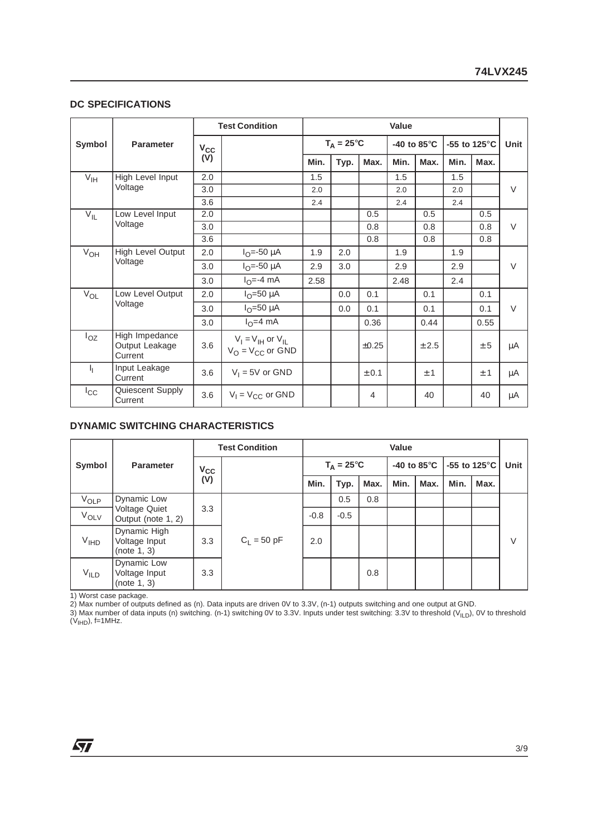#### **DC SPECIFICATIONS**

|                |                                             |          | <b>Test Condition</b>                               | Value               |      |       |      |                                |                                 |      |             |
|----------------|---------------------------------------------|----------|-----------------------------------------------------|---------------------|------|-------|------|--------------------------------|---------------------------------|------|-------------|
| Symbol         | <b>Parameter</b>                            | $V_{CC}$ |                                                     | $T_A = 25^{\circ}C$ |      |       |      | -40 to 85 $\mathrm{^{\circ}C}$ | -55 to 125 $\mathrm{^{\circ}C}$ |      | <b>Unit</b> |
|                |                                             | (V)      |                                                     | Min.                | Typ. | Max.  | Min. | Max.                           | Min.                            | Max. |             |
| $\bar{V}_{IH}$ | High Level Input                            | 2.0      |                                                     | 1.5                 |      |       | 1.5  |                                | 1.5                             |      |             |
|                | Voltage                                     | 3.0      |                                                     | 2.0                 |      |       | 2.0  |                                | 2.0                             |      | $\vee$      |
|                |                                             | 3.6      |                                                     | 2.4                 |      |       | 2.4  |                                | 2.4                             |      |             |
| $V_{IL}$       | Low Level Input                             | 2.0      |                                                     |                     |      | 0.5   |      | 0.5                            |                                 | 0.5  |             |
|                | Voltage                                     | 3.0      |                                                     |                     |      | 0.8   |      | 0.8                            |                                 | 0.8  | $\vee$      |
|                |                                             | 3.6      |                                                     |                     |      | 0.8   |      | 0.8                            |                                 | 0.8  |             |
| $V_{OH}$       | High Level Output                           | 2.0      | $I_{O} = -50 \mu A$                                 | 1.9                 | 2.0  |       | 1.9  |                                | 1.9                             |      |             |
|                | Voltage                                     | 3.0      | $I_{O} = -50 \mu A$                                 | 2.9                 | 3.0  |       | 2.9  |                                | 2.9                             |      | $\vee$      |
|                |                                             | 3.0      | $IO=-4 mA$                                          | 2.58                |      |       | 2.48 |                                | 2.4                             |      |             |
| $V_{OL}$       | Low Level Output                            | 2.0      | $I_{\Omega}$ =50 µA                                 |                     | 0.0  | 0.1   |      | 0.1                            |                                 | 0.1  |             |
|                | Voltage                                     | 3.0      | $IO=50 \mu A$                                       |                     | 0.0  | 0.1   |      | 0.1                            |                                 | 0.1  | $\vee$      |
|                |                                             | 3.0      | $IO=4 mA$                                           |                     |      | 0.36  |      | 0.44                           |                                 | 0.55 |             |
| $I_{OZ}$       | High Impedance<br>Output Leakage<br>Current | 3.6      | $V_I = V_{IH}$ or $V_{IL}$<br>$V_O = V_{CC}$ or GND |                     |      | ±0.25 |      | ± 2.5                          |                                 | ± 5  | μA          |
| Ч.             | Input Leakage<br>Current                    | 3.6      | $V_1 = 5V$ or GND                                   |                     |      | ± 0.1 |      | ±1                             |                                 | ±1   | μA          |
| $I_{\rm CC}$   | Quiescent Supply<br>Current                 | 3.6      | $V_1 = V_{CC}$ or GND                               |                     |      | 4     |      | 40                             |                                 | 40   | μA          |

#### **DYNAMIC SWITCHING CHARACTERISTICS**

|                  | <b>Parameter</b>                             | <b>Test Condition</b> |               | Value  |                     |      |      |                                                                   |      |      |        |  |  |  |
|------------------|----------------------------------------------|-----------------------|---------------|--------|---------------------|------|------|-------------------------------------------------------------------|------|------|--------|--|--|--|
| Symbol           |                                              | $V_{CC}$<br>(V)       |               |        | $T_A = 25^{\circ}C$ |      |      | -55 to 125 $\mathrm{^{\circ}C}$<br>-40 to 85 $\mathrm{^{\circ}C}$ |      |      | Unit   |  |  |  |
|                  |                                              |                       |               | Min.   | Typ.                | Max. | Min. | Max.                                                              | Min. | Max. |        |  |  |  |
| $V_{OLP}$        | Dynamic Low                                  | 3.3                   |               |        |                     |      |      | 0.5                                                               | 0.8  |      |        |  |  |  |
| $V_{OLV}$        | <b>Voltage Quiet</b><br>Output (note 1, 2)   |                       | $C_1 = 50$ pF | $-0.8$ | $-0.5$              |      |      |                                                                   |      |      |        |  |  |  |
| V <sub>IHD</sub> | Dynamic High<br>Voltage Input<br>(note 1, 3) | 3.3                   |               | 2.0    |                     |      |      |                                                                   |      |      | $\vee$ |  |  |  |
| V <sub>ILD</sub> | Dynamic Low<br>Voltage Input<br>(note 1, 3)  | 3.3                   |               |        |                     | 0.8  |      |                                                                   |      |      |        |  |  |  |

1) Worst case package.

2) Max number of outputs defined as (n). Data inputs are driven 0V to 3.3V, (n-1) outputs switching and one output at GND.

3) Max number of data inputs (n) switching. (n-1) switching 0V to 3.3V. Inputs under test switching: 3.3V to threshold (V<sub>ILD</sub>), 0V to threshold<br>(V<sub>IHD</sub>), f=1MHz.

牙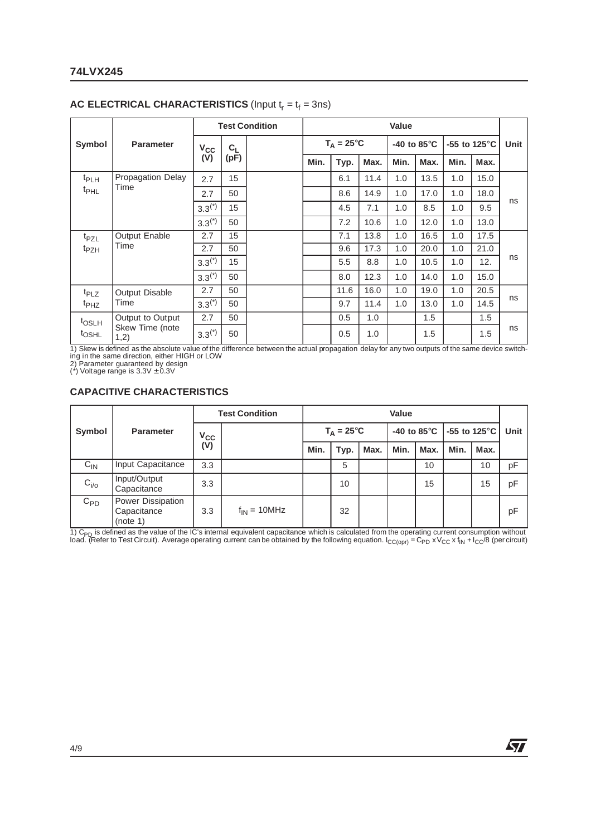#### **74LVX245**

|                     |                          |              | <b>Test Condition</b> |      |      | <b>Value</b>        |      |      |                                |                                 |      |      |
|---------------------|--------------------------|--------------|-----------------------|------|------|---------------------|------|------|--------------------------------|---------------------------------|------|------|
| Symbol              | <b>Parameter</b>         | $V_{\rm CC}$ | $C_L$<br>(pF)         |      |      | $T_A = 25^{\circ}C$ |      |      | -40 to 85 $\mathrm{^{\circ}C}$ | -55 to 125 $\mathrm{^{\circ}C}$ |      | Unit |
|                     |                          | (V)          |                       | Min. | Typ. | Max.                | Min. | Max. | Min.                           | Max.                            |      |      |
| <sup>t</sup> PLH    | <b>Propagation Delay</b> | 2.7          | 15                    |      |      | 6.1                 | 11.4 | 1.0  | 13.5                           | 1.0                             | 15.0 |      |
| <sup>t</sup> PHL    | Time                     | 2.7          | 50                    |      |      | 8.6                 | 14.9 | 1.0  | 17.0                           | 1.0                             | 18.0 |      |
|                     | $3.3^{(*)}$              | 15           |                       |      | 4.5  | 7.1                 | 1.0  | 8.5  | 1.0                            | 9.5                             | ns   |      |
|                     |                          | $3.3^{(*)}$  | 50                    |      |      | 7.2                 | 10.6 | 1.0  | 12.0                           | 1.0                             | 13.0 |      |
| t <sub>PZL</sub>    | Output Enable            | 2.7          | 15                    |      |      | 7.1                 | 13.8 | 1.0  | 16.5                           | 1.0                             | 17.5 |      |
| <sup>t</sup> PZH    | Time                     | 2.7          | 50                    |      |      | 9.6                 | 17.3 | 1.0  | 20.0                           | 1.0                             | 21.0 | ns   |
|                     |                          | $3.3^{(*)}$  | 15                    |      |      | 5.5                 | 8.8  | 1.0  | 10.5                           | 1.0                             | 12.  |      |
|                     |                          | $3.3^{(*)}$  | 50                    |      |      | 8.0                 | 12.3 | 1.0  | 14.0                           | 1.0                             | 15.0 |      |
| t <sub>PLZ</sub>    | <b>Output Disable</b>    | 2.7          | 50                    |      |      | 11.6                | 16.0 | 1.0  | 19.0                           | 1.0                             | 20.5 |      |
| <sup>t</sup> PHZ    | Time                     | $3.3^{(*)}$  | 50                    |      |      | 9.7                 | 11.4 | 1.0  | 13.0                           | 1.0                             | 14.5 | ns   |
| t <sub>OSLH</sub>   | Output to Output         | 2.7          | 50                    |      |      | 0.5                 | 1.0  |      | 1.5                            |                                 | 1.5  |      |
| <b><i>LOSHL</i></b> | Skew Time (note<br>1,2)  | $3.3^{(*)}$  | 50                    |      |      | 0.5                 | 1.0  |      | 1.5                            |                                 | 1.5  | ns   |

#### **AC ELECTRICAL CHARACTERISTICS** (Input  $t_r = t_f = 3$ ns)

1) Skew is defined as the absolute value of the difference between the actual propagation delay for any two outputs of the same device switch-<br>ing in the same direction, either HIGH or LOW<br>2) Parameter guaranteed by design

#### **CAPACITIVE CHARACTERISTICS**

|           | <b>Parameter</b>                             | <b>Test Condition</b> |                  | Value |                     |      |      |      |                                                  |      |      |
|-----------|----------------------------------------------|-----------------------|------------------|-------|---------------------|------|------|------|--------------------------------------------------|------|------|
| Symbol    |                                              | $V_{CC}$<br>(V)       |                  |       | $T_A = 25^{\circ}C$ |      |      |      | -40 to 85 $^{\circ}$ C   -55 to 125 $^{\circ}$ C |      | Unit |
|           |                                              |                       |                  | Min.  | Typ.                | Max. | Min. | Max. | Min.                                             | Max. |      |
| $C_{IN}$  | Input Capacitance                            | 3.3                   |                  |       | 5                   |      |      | 10   |                                                  | 10   | рF   |
| $C_{i/o}$ | Input/Output<br>Capacitance                  | 3.3                   |                  |       | 10                  |      |      | 15   |                                                  | 15   | рF   |
| $C_{PD}$  | Power Dissipation<br>Capacitance<br>(note 1) | 3.3                   | $f_{IN}$ = 10MHz |       | 32                  |      |      |      |                                                  |      | pF   |

1) C<sub>PD</sub> is defined as the value of the IC's internal equivalent capacitance which is calculated from the operating current consumption without<br>load. (Refer to Test Circuit). Average operating current can be obtained by th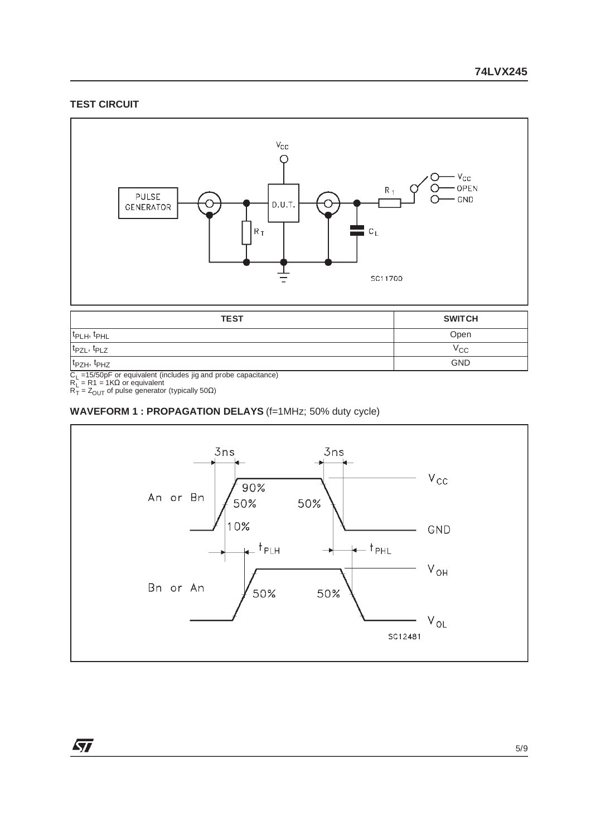#### **TEST CIRCUIT**



| <b>TEST</b>                          | <b>SWITCH</b> |
|--------------------------------------|---------------|
| $ t_{\text{PLH}}$ , $t_{\text{PHL}}$ | Open          |
| $ t_{PZL}, t_{PLZ} $                 | $v_{\rm CC}$  |
| $ t_{PZH}, t_{PHZ} $                 | <b>GND</b>    |

C<sub>L</sub> =15/50pF or equivalent (includes jig and probe capacitance)<br>R<sub>L</sub> = R1 = 1KΩ or equivalent<br>R<sub>T</sub> = Z<sub>OUT</sub> of pulse generator (typically 50Ω)

#### **WAVEFORM 1 : PROPAGATION DELAYS** (f=1MHz; 50% duty cycle)



 $\sqrt{2}$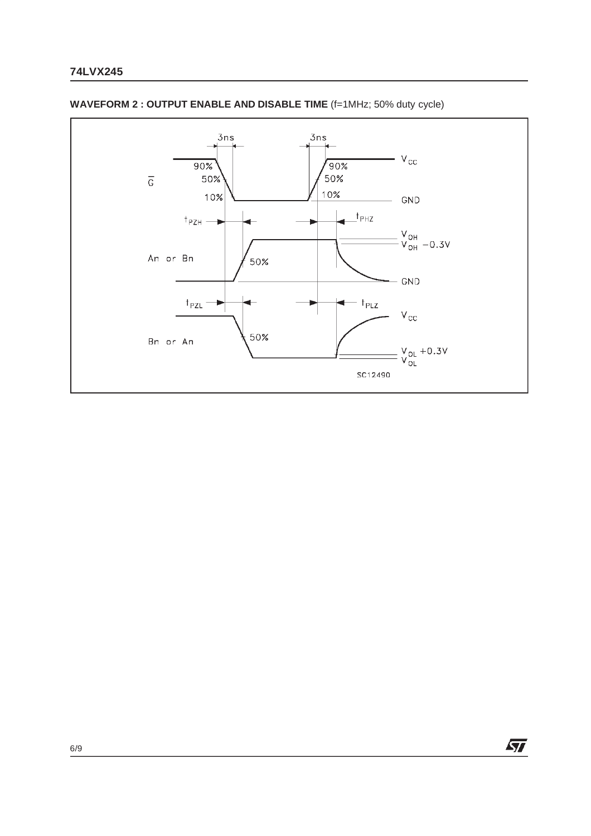

#### **WAVEFORM 2 : OUTPUT ENABLE AND DISABLE TIME** (f=1MHz; 50% duty cycle)

 $\sqrt{2}$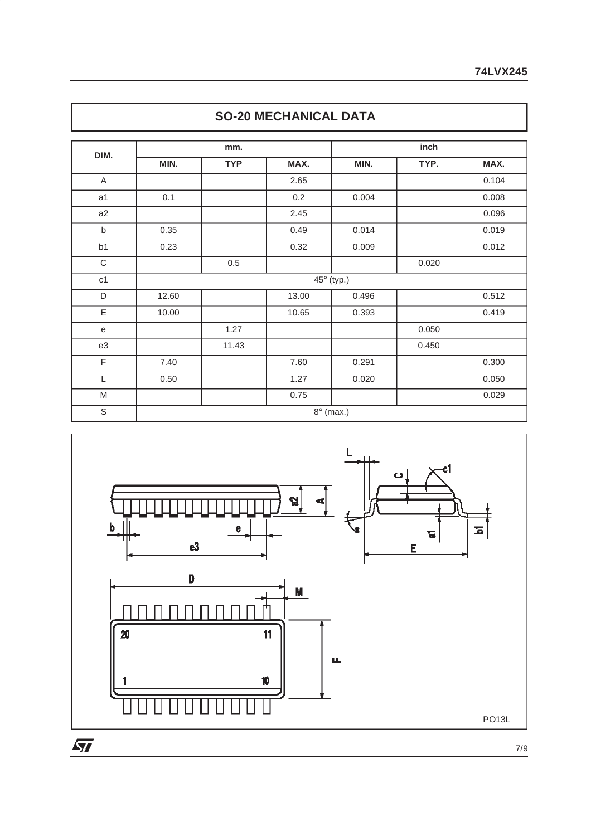| DIM.           |       | mm.        |         | inch       |       |       |  |  |  |
|----------------|-------|------------|---------|------------|-------|-------|--|--|--|
|                | MIN.  | <b>TYP</b> | MAX.    | MIN.       | TYP.  | MAX.  |  |  |  |
| $\mathsf A$    |       |            | 2.65    |            |       | 0.104 |  |  |  |
| a <sub>1</sub> | 0.1   |            | $0.2\,$ | 0.004      |       | 0.008 |  |  |  |
| a2             |       |            | 2.45    |            |       | 0.096 |  |  |  |
| $\sf b$        | 0.35  |            | 0.49    | 0.014      |       | 0.019 |  |  |  |
| b <sub>1</sub> | 0.23  |            | 0.32    | 0.009      |       | 0.012 |  |  |  |
| C              |       | $0.5\,$    |         |            | 0.020 |       |  |  |  |
| c1             |       |            |         | 45° (typ.) |       |       |  |  |  |
| D              | 12.60 |            | 13.00   | 0.496      |       | 0.512 |  |  |  |
| E              | 10.00 |            | 10.65   | 0.393      |       | 0.419 |  |  |  |
| $\mathbf e$    |       | 1.27       |         |            | 0.050 |       |  |  |  |
| e3             |       | 11.43      |         |            | 0.450 |       |  |  |  |
| $\mathsf F$    | 7.40  |            | 7.60    | 0.291      |       | 0.300 |  |  |  |
| L              | 0.50  |            | 1.27    | 0.020      |       | 0.050 |  |  |  |
| ${\sf M}$      |       |            | 0.75    |            |       | 0.029 |  |  |  |





7/9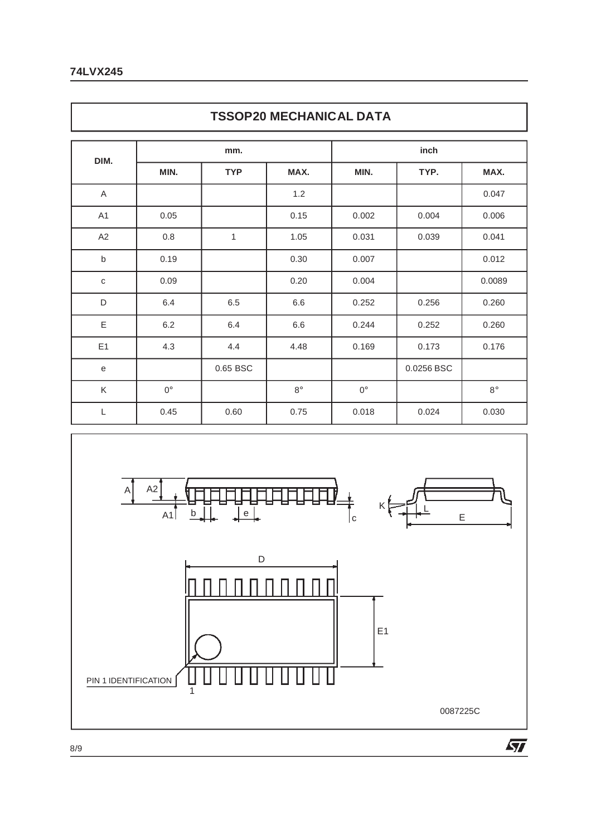### **74LVX245**

Г

|                | <b>TSSOP20 MECHANICAL DATA</b> |            |             |             |            |             |  |  |  |  |  |  |
|----------------|--------------------------------|------------|-------------|-------------|------------|-------------|--|--|--|--|--|--|
|                |                                | mm.        |             | inch        |            |             |  |  |  |  |  |  |
| DIM.           | MIN.                           | <b>TYP</b> | MAX.        | MIN.        | TYP.       | MAX.        |  |  |  |  |  |  |
| A              |                                |            | 1.2         |             |            | 0.047       |  |  |  |  |  |  |
| A <sub>1</sub> | 0.05                           |            | 0.15        | 0.002       | 0.004      | 0.006       |  |  |  |  |  |  |
| A2             | 0.8                            | 1          | 1.05        | 0.031       | 0.039      | 0.041       |  |  |  |  |  |  |
| b              | 0.19                           |            | 0.30        | 0.007       |            | 0.012       |  |  |  |  |  |  |
| $\mathbf C$    | 0.09                           |            | 0.20        | 0.004       |            | 0.0089      |  |  |  |  |  |  |
| D              | 6.4                            | 6.5        | 6.6         | 0.252       | 0.256      | 0.260       |  |  |  |  |  |  |
| E              | 6.2                            | 6.4        | 6.6         | 0.244       | 0.252      | 0.260       |  |  |  |  |  |  |
| E1             | 4.3                            | 4.4        | 4.48        | 0.169       | 0.173      | 0.176       |  |  |  |  |  |  |
| e              |                                | 0.65 BSC   |             |             | 0.0256 BSC |             |  |  |  |  |  |  |
| K              | $0^\circ$                      |            | $8^{\circ}$ | $0^{\circ}$ |            | $8^{\circ}$ |  |  |  |  |  |  |
| L              | 0.45                           | 0.60       | 0.75        | 0.018       | 0.024      | 0.030       |  |  |  |  |  |  |

1



8/9